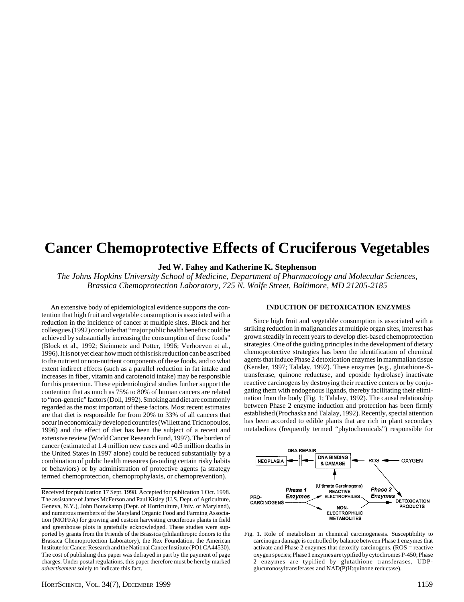# **Cancer Chemoprotective Effects of Cruciferous Vegetables**

**Jed W. Fahey and Katherine K. Stephenson**

*The Johns Hopkins University School of Medicine, Department of Pharmacology and Molecular Sciences, Brassica Chemoprotection Laboratory, 725 N. Wolfe Street, Baltimore, MD 21205-2185*

An extensive body of epidemiological evidence supports the contention that high fruit and vegetable consumption is associated with a reduction in the incidence of cancer at multiple sites. Block and her colleagues (1992) conclude that "major public health benefits could be achieved by substantially increasing the consumption of these foods" (Block et al., 1992; Steinmetz and Potter, 1996; Verhoeven et al., 1996). It is not yet clear how much of this risk reduction can be ascribed to the nutrient or non-nutrient components of these foods, and to what extent indirect effects (such as a parallel reduction in fat intake and increases in fiber, vitamin and carotenoid intake) may be responsible for this protection. These epidemiological studies further support the contention that as much as 75% to 80% of human cancers are related to "non-genetic" factors (Doll, 1992). Smoking and diet are commonly regarded as the most important of these factors. Most recent estimates are that diet is responsible for from 20% to 33% of all cancers that occur in economically developed countries (Willett and Trichopoulos, 1996) and the effect of diet has been the subject of a recent and extensive review (World Cancer Research Fund, 1997). The burden of cancer (estimated at 1.4 million new cases and ≈0.5 million deaths in the United States in 1997 alone) could be reduced substantially by a combination of public health measures (avoiding certain risky habits or behaviors) or by administration of protective agents (a strategy termed chemoprotection, chemoprophylaxis, or chemoprevention).

#### **INDUCTION OF DETOXICATION ENZYMES**

Since high fruit and vegetable consumption is associated with a striking reduction in malignancies at multiple organ sites, interest has grown steadily in recent years to develop diet-based chemoprotection strategies. One of the guiding principles in the development of dietary chemoprotective strategies has been the identification of chemical agents that induce Phase 2 detoxication enzymes in mammalian tissue (Kensler, 1997; Talalay, 1992). These enzymes (e.g., glutathione-Stransferase, quinone reductase, and epoxide hydrolase) inactivate reactive carcinogens by destroying their reactive centers or by conjugating them with endogenous ligands, thereby facilitating their elimination from the body (Fig. 1; Talalay, 1992). The causal relationship between Phase 2 enzyme induction and protection has been firmly established (Prochaska and Talalay, 1992). Recently, special attention has been accorded to edible plants that are rich in plant secondary metabolites (frequently termed "phytochemicals") responsible for



Fig. 1. Role of metabolism in chemical carcinogenesis. Susceptibility to carcinogen damage is controlled by balance between Phase 1 enzymes that activate and Phase 2 enzymes that detoxify carcinogens. (ROS = reactive oxygen species; Phase 1 enzymes are typified by cytochromes P-450; Phase 2 enzymes are typified by glutathione transferases, UDPglucuronosyltransferases and NAD(P)H:quinone reductase).

Received for publication 17 Sept. 1998. Accepted for publication 1 Oct. 1998. The assistance of James McFerson and Paul Kisley (U.S. Dept. of Agriculture, Geneva, N.Y.), John Bouwkamp (Dept. of Horticulture, Univ. of Maryland), and numerous members of the Maryland Organic Food and Farming Association (MOFFA) for growing and custom harvesting cruciferous plants in field and greenhouse plots is gratefully acknowledged. These studies were supported by grants from the Friends of the Brassica (philanthropic donors to the Brassica Chemoprotection Laboratory), the Rex Foundation, the American Institute for Cancer Research and the National Cancer Institute (PO1 CA44530). The cost of publishing this paper was defrayed in part by the payment of page charges. Under postal regulations, this paper therefore must be hereby marked *advertisement* solely to indicate this fact.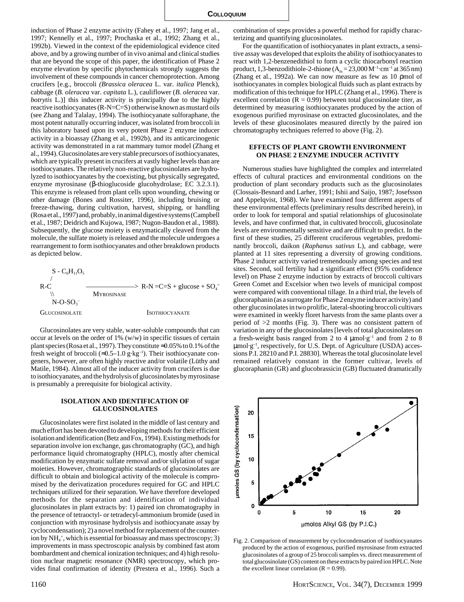induction of Phase 2 enzyme activity (Fahey et al., 1997; Jang et al., 1997; Kennelly et al., 1997; Prochaska et al., 1992; Zhang et al., 1992b). Viewed in the context of the epidemiological evidence cited above, and by a growing number of in vivo animal and clinical studies that are beyond the scope of this paper, the identification of Phase 2 enzyme elevation by specific phytochemicals strongly suggests the involvement of these compounds in cancer chemoprotection. Among crucifers [e.g., broccoli *(Brassica oleracea* L. var. *italica* Plenck), cabbage (*B. oleracea* var. *capitata* L*.*), cauliflower (*B. oleracea* var. *botrytis* L*.*)] this inducer activity is principally due to the highly reactive isothiocyanates (R-N=C=S) otherwise known as mustard oils (see Zhang and Talalay, 1994). The isothiocyanate sulforaphane, the most potent naturally occurring inducer, was isolated from broccoli in this laboratory based upon its very potent Phase 2 enzyme inducer activity in a bioassay (Zhang et al., 1992b), and its anticarcinogenic activity was demonstrated in a rat mammary tumor model (Zhang et al., 1994). Glucosinolates are very stable precursors of isothiocyanates, which are typically present in crucifers at vastly higher levels than are isothiocyanates. The relatively non-reactive glucosinolates are hydrolyzed to isothiocyanates by the coexisting, but physically segregated, enzyme myrosinase (β-thioglucoside glucohydrolase; EC 3.2.3.1). This enzyme is released from plant cells upon wounding, chewing or other damage (Bones and Rossiter, 1996), including bruising or freeze-thawing, during cultivation, harvest, shipping, or handling (Rosa et al., 1997) and, probably, in animal digestive systems (Campbell et al., 1987; Deidrich and Kujowa, 1987; Nugon-Baudon et al., 1988). Subsequently, the glucose moiety is enzymatically cleaved from the molecule, the sulfate moiety is released and the molecule undergoes a rearrangement to form isothiocyanates and other breakdown products as depicted below.

 $S - C<sub>6</sub>H<sub>11</sub>O<sub>5</sub>$  /  $R-C$  ————————>  $R-N= C=S + glucose + SO<sub>4</sub>$ **MYROSINASE**  $N$ -O-SO<sub>3</sub><sup>-</sup> GLUCOSINOLATE ISOTHIOCYANATE

Glucosinolates are very stable, water-soluble compounds that can occur at levels on the order of  $1\%$  (w/w) in specific tissues of certain plant species (Rosa et al., 1997). They constitute ≈0.05% to 0.1% of the fresh weight of broccoli ( $\approx 0.5-1.0$  g·kg<sup>-1</sup>). Their isothiocyanate congeners, however, are often highly reactive and/or volatile (Lüthy and Matile, 1984). Almost all of the inducer activity from crucifers is due to isothiocyanates, and the hydrolysis of glucosinolates by myrosinase is presumably a prerequisite for biological activity.

## **ISOLATION AND IDENTIFICATION OF GLUCOSINOLATES**

Glucosinolates were first isolated in the middle of last century and much effort has been devoted to developing methods for their efficient isolation and identification (Betz and Fox, 1994). Existing methods for separation involve ion exchange, gas chromatography (GC), and high performance liquid chromatography (HPLC), mostly after chemical modification by enzymatic sulfate removal and/or silylation of sugar moieties. However, chromatographic standards of glucosinolates are difficult to obtain and biological activity of the molecule is compromised by the derivatization procedures required for GC and HPLC techniques utilized for their separation. We have therefore developed methods for the separation and identification of individual glucosinolates in plant extracts by: 1) paired ion chromatography in the presence of tetraoctyl- or tetradecyl-ammonium bromide (used in conjunction with myrosinase hydrolysis and isothiocyanate assay by cyclocondensation); 2) a novel method for replacement of the counterion by NH<sub>4</sub><sup>+</sup>, which is essential for bioassay and mass spectroscopy; 3) improvements in mass spectroscopic analysis by combined fast atom bombardment and chemical ionization techniques; and 4) high resolution nuclear magnetic resonance (NMR) spectroscopy, which provides final confirmation of identity (Prestera et al., 1996). Such a combination of steps provides a powerful method for rapidly characterizing and quantifying glucosinolates.

For the quantification of isothiocyanates in plant extracts, a sensitive assay was developed that exploits the ability of isothiocyanates to react with 1,2-benzenedithiol to form a cyclic thiocarbonyl reaction product, 1,3-benzodithiole-2-thione  $(A_m = 23,000 M^{-1} \cdot cm^{-1}$  at 365 nm) (Zhang et al., 1992a). We can now measure as few as 10 ρmol of isothiocyanates in complex biological fluids such as plant extracts by modification of this technique for HPLC (Zhang et al., 1996). There is excellent correlation ( $R = 0.99$ ) between total glucosinolate titer, as determined by measuring isothiocyanates produced by the action of exogenous purified myrosinase on extracted glucosinolates, and the levels of these glucosinolates measured directly by the paired ion chromatography techniques referred to above (Fig. 2).

### **EFFECTS OF PLANT GROWTH ENVIRONMENT ON PHASE 2 ENZYME INDUCER ACTIVITY**

Numerous studies have highlighted the complex and interrelated effects of cultural practices and environmental conditions on the production of plant secondary products such as the glucosinolates (Clossais-Besnard and Larher, 1991; Ishii and Saijo, 1987; Josefsson and Appelqvist, 1968). We have examined four different aspects of these environmental effects (preliminary results described herein), in order to look for temporal and spatial relationships of glucosinolate levels, and have confirmed that, in cultivated broccoli, glucosinolate levels are environmentally sensitive and are difficult to predict. In the first of these studies, 25 different cruciferous vegetables, predominantly broccoli, daikon (*Raphanus sativus* L)*,* and cabbage, were planted at 11 sites representing a diversity of growing conditions. Phase 2 inducer activity varied tremendously among species and test sites. Second, soil fertility had a significant effect (95% confidence level) on Phase 2 enzyme induction by extracts of broccoli cultivars Green Comet and Excelsior when two levels of municipal compost were compared with conventional tillage. In a third trial, the levels of glucoraphanin (as a surrogate for Phase 2 enzyme inducer activity) and other glucosinolates in two prolific, lateral-shooting broccoli cultivars were examined in weekly floret harvests from the same plants over a period of >2 months (Fig. 3). There was no consistent pattern of variation in any of the glucosinolates [levels of total glucosinolates on a fresh-weight basis ranged from 2 to 4  $\mu$ mol·g<sup>-1</sup> and from 2 to 8 µmol·g–1, respectively, for U.S. Dept. of Agriculture (USDA) accessions P.I. 28210 and P.I. 28830]. Whereas the total glucosinolate level remained relatively constant in the former cultivar, levels of glucoraphanin (GR) and glucobrassicin (GB) fluctuated dramatically



Fig. 2. Comparison of measurement by cyclocondensation of isothiocyanates produced by the action of exogenous, purified myrosinase from extracted glucosinolates of a group of 25 broccoli samples vs. direct measurement of total glucosinolate (GS) content on these extracts by paired ion HPLC. Note the excellent linear correlation  $(R = 0.99)$ .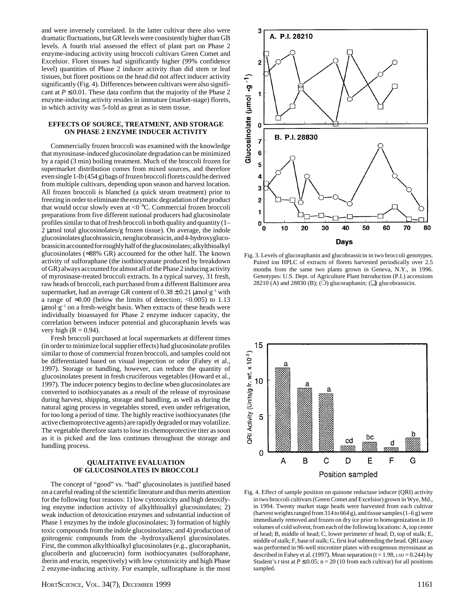and were inversely correlated. In the latter cultivar there also were dramatic fluctuations, but GR levels were consistently higher than GB levels. A fourth trial assessed the effect of plant part on Phase 2 enzyme-inducing activity using broccoli cultivars Green Comet and Excelsior. Floret tissues had significantly higher (99% confidence level) quantities of Phase 2 inducer activity than did stem or leaf tissues, but floret positions on the head did not affect inducer activity significantly (Fig. 4). Differences between cultivars were also significant at  $P \le 0.01$ . These data confirm that the majority of the Phase 2 enzyme-inducing activity resides in immature (market-stage) florets, in which activity was 5-fold as great as in stem tissue.

# **EFFECTS OF SOURCE, TREATMENT, AND STORAGE ON PHASE 2 ENZYME INDUCER ACTIVITY**

Commercially frozen broccoli was examined with the knowledge that myrosinase-induced glucosinolate degradation can be minimized by a rapid (3 min) boiling treatment. Much of the broccoli frozen for supermarket distribution comes from mixed sources, and therefore even single 1-lb (454 g) bags of frozen broccoli florets could be derived from multiple cultivars, depending upon season and harvest location. All frozen broccoli is blanched (a quick steam treatment) prior to freezing in order to eliminate the enzymatic degradation of the product that would occur slowly even at <0 °C. Commercial frozen broccoli preparations from five different national producers had glucosinolate profiles similar to that of fresh broccoli in both quality and quantity (1– 2 µmol total glucosinolates/g frozen tissue). On average, the indole glucosinolates glucobrassicin, neoglucobrassicin, and 4-hydroxyglucobrassicin accounted for roughly half of the glucosinolates; alkylthioalkyl glucosinolates (≈88% GR) accounted for the other half. The known activity of sulforaphane (the isothiocyanate produced by breakdown of GR) always accounted for almost all of the Phase 2 inducing activity of myrosinase-treated broccoli extracts. In a typical survey, 31 fresh, raw heads of broccoli, each purchased from a different Baltimore area supermarket, had an average GR content of  $0.38 \pm 0.21$  µmol·g<sup>-1</sup> with a range of  $\approx 0.00$  (below the limits of detection; <0.005) to 1.13  $\mu$ mol·g<sup>-1</sup> on a fresh-weight basis. When extracts of these heads were individually bioassayed for Phase 2 enzyme inducer capacity, the correlation between inducer potential and glucoraphanin levels was very high  $(R = 0.94)$ .

Fresh broccoli purchased at local supermarkets at different times (in order to minimize local supplier effects) had glucosinolate profiles similar to those of commercial frozen broccoli, and samples could not be differentiated based on visual inspection or odor (Fahey et al., 1997). Storage or handling, however, can reduce the quantity of glucosinolates present in fresh cruciferous vegetables (Howard et al., 1997). The inducer potency begins to decline when glucosinolates are converted to isothiocyanates as a result of the release of myrosinase during harvest, shipping, storage and handling, as well as during the natural aging process in vegetables stored, even under refrigeration, for too long a period of time. The highly reactive isothiocyanates (the active chemoprotective agents) are rapidly degraded or may volatilize. The vegetable therefore starts to lose its chemoprotective titer as soon as it is picked and the loss continues throughout the storage and handling process.

# **QUALITATIVE EVALUATION OF GLUCOSINOLATES IN BROCCOLI**

The concept of "good" vs. "bad" glucosinolates is justified based on a careful reading of the scientific literature and thus merits attention for the following four reasons: 1) low cytotoxicity and high detoxifying enzyme induction activity of alkylthioalkyl glucosinolates; 2) weak induction of detoxication enzymes and substantial induction of Phase 1 enzymes by the indole glucosinolates; 3) formation of highly toxic compounds from the indole glucosinolates; and 4) production of goitrogenic compounds from the -hydroxyalkenyl glucosinolates. First, the common alkylthioalkyl glucosinolates (e.g., glucoraphanin, glucoiberin and glucoerucin) form isothiocyanates (sulforaphane, iberin and erucin, respectively) with low cytotoxicity and high Phase 2 enzyme-inducing activity. For example, sulforaphane is the most



Fig. 3. Levels of glucoraphanin and glucobrassicin in two broccoli genotypes. Paired ion HPLC of extracts of florets harvested periodically over 2.5 months from the same two plants grown in Geneva, N.Y., in 1996. Genotypes: U.S. Dept. of Agriculture Plant Introduction (P.I.) accessions 28210 (A) and 28830 (B); ( $\bigcirc$ ) glucoraphanin; ( $\square$ ) glucobrassicin.



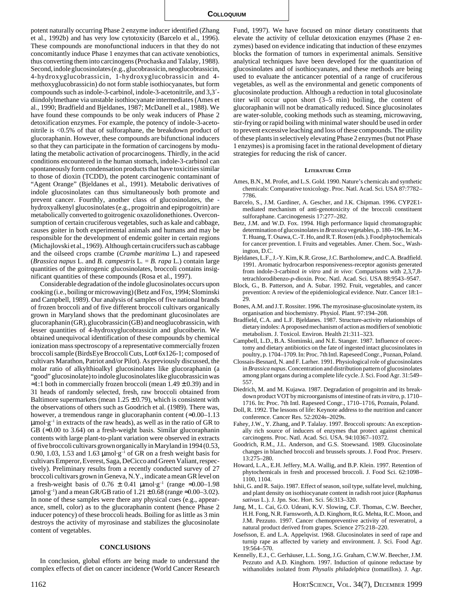potent naturally occurring Phase 2 enzyme inducer identified (Zhang et al., 1992b) and has very low cytotoxicity (Barcelo et al., 1996). These compounds are monofunctional inducers in that they do not concomitantly induce Phase 1 enzymes that can activate xenobiotics, thus converting them into carcinogens (Prochaska and Talalay, 1988). Second, indole glucosinolates (e.g., glucobrassicin, neoglucobrassicin, 4-hydroxyglucobrassicin, 1-hydroxyglucobrassicin and 4 methoxyglucobrassicin) do not form stable isothiocyanates, but form compounds such as indole-3-carbinol, indole-3-acetonitrile, and 3,3´ diindolylmethane via unstable isothiocyanate intermediates (Ames et al., 1990; Bradfield and Bjeldanes, 1987; McDanell et al., 1988). We have found these compounds to be only weak inducers of Phase 2 detoxification enzymes. For example, the potency of indole-3-acetonitrile is <0.5% of that of sulforaphane, the breakdown product of glucoraphanin. However, these compounds are bifunctional inducers so that they can participate in the formation of carcinogens by modulating the metabolic activation of procarcinogens. Thirdly, in the acid conditions encountered in the human stomach, indole-3-carbinol can spontaneously form condensation products that have toxicities similar to those of dioxin (TCDD), the potent carcinogenic contaminant of "Agent Orange" (Bjeldanes et al., 1991). Metabolic derivatives of indole glucosinolates can thus simultaneously both promote and prevent cancer. Fourthly, another class of glucosinolates, the hydroxyalkenyl glucosinolates (e.g., progoitrin and epiprogoitrin) are metabolically converted to goitrogenic oxazolidonethiones. Overconsumption of certain cruciferous vegetables, such as kale and cabbage, causes goiter in both experimental animals and humans and may be responsible for the development of endemic goiter in certain regions (Michajlovski et al., 1969). Although certain crucifers such as cabbage and the oilseed crops crambe (*Crambe maritima* L.) and rapeseed (*Brassica napus* L. and *B. campestris* L*.* = *B. rapa* L*.*) contain large quantities of the goitrogenic glucosinolates, broccoli contains insignificant quantities of these compounds (Rosa et al., 1997).

Considerable degradation of the indole glucosinolates occurs upon cooking (i.e., boiling or microwaving) (Betz and Fox, 1994; Slominski and Campbell, 1989). Our analysis of samples of five national brands of frozen broccoli and of five different broccoli cultivars organically grown in Maryland shows that the predominant glucosinolates are glucoraphanin (GR), glucobrassicin (GB) and neoglucobrassicin, with lesser quantities of 4-hydroxyglucobrassicin and glucoiberin. We obtained unequivocal identification of these compounds by chemical ionization mass spectroscopy of a representative commercially frozen broccoli sample (BirdsEye Broccoli Cuts, Lot# 6x126-1; composed of cultivars Marathon, Patriot and/or Pilot). As previously discussed, the molar ratio of alkylthioalkyl glucosinolates like glucoraphanin (a "good" glucosinolate) to indole glucosinolates like glucobrassicin was  $\approx$ 1:1 both in commercially frozen broccoli (mean 1.49 ± 0.39) and in 31 heads of randomly selected, fresh, raw broccoli obtained from Baltimore supermarkets (mean  $1.25 \pm 0.79$ ), which is consistent with the observations of others such as Goodrich et al. (1989). There was, however, a tremendous range in glucoraphanin content  $(\approx 0.00-1.13)$  $\mu$ mol·g<sup>-1</sup> in extracts of the raw heads), as well as in the ratio of GR to GB ( $\approx$ 0.00 to 3.64) on a fresh-weight basis. Similar glucoraphanin contents with large plant-to-plant variation were observed in extracts of five broccoli cultivars grown organically in Maryland in 1994 (0.53, 0.90, 1.03, 1.53 and 1.63  $\upmu \text{mol}\cdot \text{g}^{-1}$  of GR on a fresh weight basis for cultivars Emperor, Everest, Saga, DeCicco and Green Valiant, respectively). Preliminary results from a recently conducted survey of 27 broccoli cultivars grown in Geneva, N.Y., indicate a mean GR level on a fresh-weight basis of  $0.76 \pm 0.41$  µmol·g<sup>-1</sup> (range ≈0.00–1.98)  $\mu$ mol·g<sup>-1</sup>) and a mean GR/GB ratio of 1.21  $\pm$  0.68 (range  $\approx$  0.00–3.02). In none of these samples were there any physical cues (e.g., appearance, smell, color) as to the glucoraphanin content (hence Phase 2 inducer potency) of these broccoli heads. Boiling for as little as 3 min destroys the activity of myrosinase and stabilizes the glucosinolate content of vegetables.

#### **CONCLUSIONS**

In conclusion, global efforts are being made to understand the complex effects of diet on cancer incidence (World Cancer Research Fund, 1997). We have focused on minor dietary constituents that elevate the activity of cellular detoxication enzymes (Phase 2 enzymes) based on evidence indicating that induction of these enzymes blocks the formation of tumors in experimental animals. Sensitive analytical techniques have been developed for the quantitation of glucosinolates and of isothiocyanates, and these methods are being used to evaluate the anticancer potential of a range of cruciferous vegetables, as well as the environmental and genetic components of glucosinolate production. Although a reduction in total glucosinolate titer will occur upon short (3–5 min) boiling, the content of glucoraphanin will not be dramatically reduced. Since glucosinolates are water-soluble, cooking methods such as steaming, microwaving, stir-frying or rapid boiling with minimal water should be used in order to prevent excessive leaching and loss of these compounds. The utility of these plants in selectively elevating Phase 2 enzymes (but not Phase 1 enzymes) is a promising facet in the rational development of dietary strategies for reducing the risk of cancer.

#### **LITERATURE CITED**

- Ames, B.N., M. Profet, and L.S. Gold. 1990. Nature's chemicals and synthetic chemicals: Comparative toxicology. Proc. Natl. Acad. Sci. USA 87:7782– 7786.
- Barcelo, S., J.M. Gardiner, A. Gescher, and J.K. Chipman. 1996. CYP2E1 mediated mechanism of anti-genotoxicity of the broccoli constituent sulforaphane. Carcinogenesis 17:277–282.
- Betz, J.M. and W.D. Fox. 1994. High performance liquid chromatographic determination of glucosinolates in *Brassica* vegetables, p. 180–196. In: M.- T. Huang, T. Osawa, C.-T. Ho, and R.T. Rosen (eds.). Food phytochemicals for cancer prevention. I. Fruits and vegetables. Amer. Chem. Soc., Washington, D.C.
- Bjeldanes, L.F., J.-Y. Kim, K.R. Grose, J.C. Bartholomew, and C.A. Bradfield. 1991. Aromatic hydrocarbon responsiveness-receptor agonists generated from indole-3-carbinol *in vitro* and *in vivo*: Comparisons with 2,3,7,8 tetrachlorodibenzo-*p*-dioxin. Proc. Natl. Acad. Sci. USA 88:9543–9547.
- Block, G., B. Patterson, and A. Subar. 1992. Fruit, vegetables, and cancer prevention: A review of the epidemiological evidence. Nutr. Cancer 18:1– 29.
- Bones, A.M. and J.T. Rossiter. 1996. The myrosinase-glucosinolate system, its organisation and biochemistry. Physiol. Plant. 97:194–208.
- Bradfield, C.A. and L.F. Bjeldanes. 1987. Structure-activity relationships of dietary indoles: A proposed mechanism of action as modifiers of xenobiotic metabolism. J. Toxicol. Environ. Health 21:311–323.
- Campbell, L.D., B.A. Slominski, and N.E. Stanger. 1987. Influence of cecectomy and dietary antibiotics on the fate of ingested intact glucosinolates in poultry, p. 1704–1709. In: Proc. 7th Intl. Rapeseed Congr., Poznan, Poland.
- Clossais-Besnard, N. and F. Larher. 1991. Physiological role of glucosinolates in *Brassica napus*. Concentration and distribution pattern of glucosinolates among plant organs during a complete life cycle. J. Sci. Food Agr. 31:549– 557.
- Diedrich, M. and M. Kujawa. 1987. Degradation of progoitrin and its breakdown product VOT by microorganisms of intestine of rats *in vitro,* p. 1710– 1716. In: Proc. 7th Intl. Rapeseed Congr., 1710–1716, Poznaín, Poland.
- Doll, R. 1992. The lessons of life: Keynote address to the nutrition and cancer conference. Cancer Res. 52:2024s–2029s.
- Fahey, J.W., Y. Zhang, and P. Talalay. 1997. Broccoli sprouts: An exceptionally rich source of inducers of enzymes that protect against chemical carcinogens. Proc. Natl. Acad. Sci. USA. 94:10367–10372.
- Goodrich, R.M., J.L. Anderson, and G.S. Stoewsand. 1989. Glucosinolate changes in blanched broccoli and brussels sprouts. J. Food Proc. Preserv. 13:275–280.
- Howard, L.A., E.H. Jeffery, M.A. Wallig, and B.P. Klein. 1997. Retention of phytochemicals in fresh and processed broccoli. J. Food Sci. 62:1098– 1100, 1104.
- Ishii, G. and R. Saijo. 1987. Effect of season, soil type, sulfate level, mulching, and plant density on isothiocyanate content in radish root juice (*Raphanus sativus* L.). J. Jpn. Soc. Hort. Sci. 56:313–320.
- Jang, M., L. Cai, G.O. Udeani, K.V. Slowing, C.F. Thomas, C.W. Beecher, H.H. Fong, N.R. Farnsworth, A.D. Kinghorn, R.G. Mehta, R.C. Moon, and J.M. Pezzuto. 1997. Cancer chemopreventive activity of resveratrol, a natural product derived from grapes. Science 275:218–220.
- Josefsson, E. and L.A. Appelqvist. 1968. Glucosinolates in seed of rape and turnip rape as affected by variety and environment. J. Sci. Food Agr. 19:564–570.
- Kennelly, E.J., C. Gerhäuser, L.L. Song, J.G. Graham, C.W.W. Beecher, J.M. Pezzuto and A.D. Kinghorn. 1997. Induction of quinone reductase by withanolides isolated from *Physalis philadelphica* (tomatillos). J. Agr.